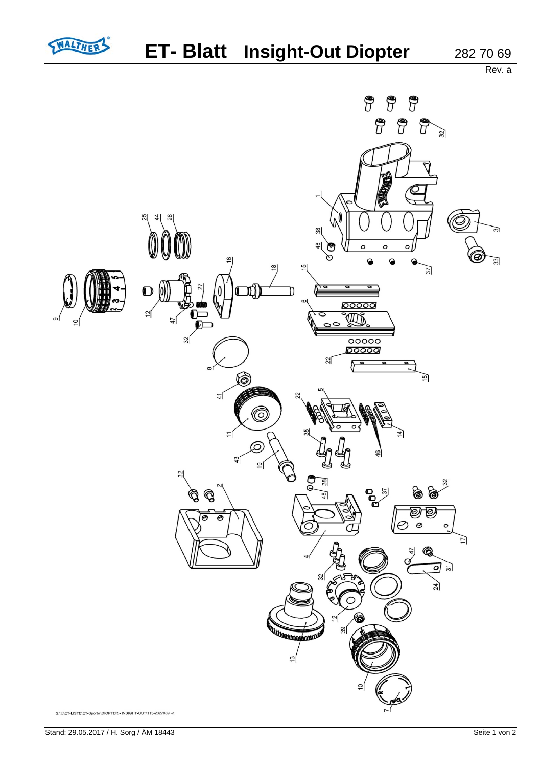

Rev. a